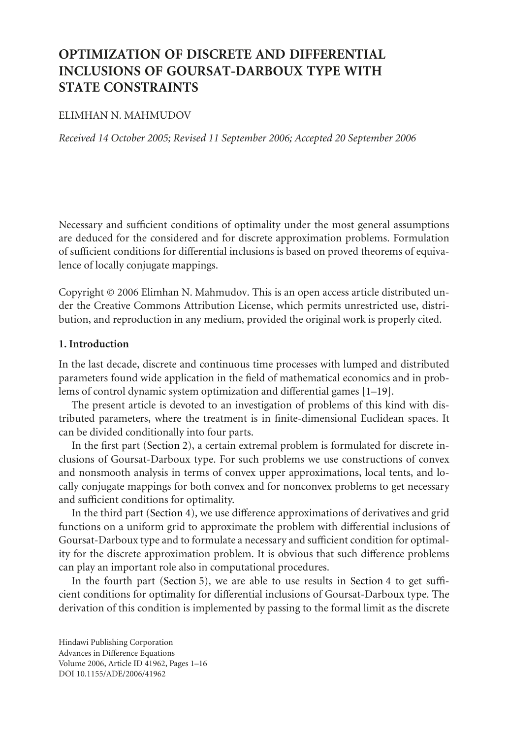# **OPTIMIZATION OF DISCRETE AND DIFFERENTIAL INCLUSIONS OF GOURSAT-DARBOUX TYPE WITH STATE CONSTRAINTS**

## ELIMHAN N. MAHMUDOV

*Received 14 October 2005; Revised 11 September 2006; Accepted 20 September 2006*

Necessary and sufficient conditions of optimality under the most general assumptions are deduced for the considered and for discrete approximation problems. Formulation of sufficient conditions for differential inclusions is based on proved theorems of equivalence of locally conjugate mappings.

Copyright © 2006 Elimhan N. Mahmudov. This is an open access article distributed under the Creative Commons Attribution License, which permits unrestricted use, distribution, and reproduction in any medium, provided the original work is properly cited.

# <span id="page-0-0"></span>**1. Introduction**

In the last decade, discrete and continuous time processes with lumped and distributed parameters found wide application in the field of mathematical economics and in problems of control dynamic system optimization and differential games [\[1](#page-14-0)[–19\]](#page-15-0).

The present article is devoted to an investigation of problems of this kind with distributed parameters, where the treatment is in finite-dimensional Euclidean spaces. It can be divided conditionally into four parts.

In the first part [\(Section 2\)](#page-1-0), a certain extremal problem is formulated for discrete inclusions of Goursat-Darboux type. For such problems we use constructions of convex and nonsmooth analysis in terms of convex upper approximations, local tents, and locally conjugate mappings for both convex and for nonconvex problems to get necessary and sufficient conditions for optimality.

In the third part [\(Section 4\)](#page-6-0), we use difference approximations of derivatives and grid functions on a uniform grid to approximate the problem with differential inclusions of Goursat-Darboux type and to formulate a necessary and sufficient condition for optimality for the discrete approximation problem. It is obvious that such difference problems can play an important role also in computational procedures.

In the fourth part [\(Section 5\)](#page-9-0), we are able to use results in [Section 4](#page-6-0) to get sufficient conditions for optimality for differential inclusions of Goursat-Darboux type. The derivation of this condition is implemented by passing to the formal limit as the discrete

Hindawi Publishing Corporation Advances in Difference Equations Volume 2006, Article ID 41962, Pages 1[–16](#page-14-1) DOI 10.1155/ADE/2006/41962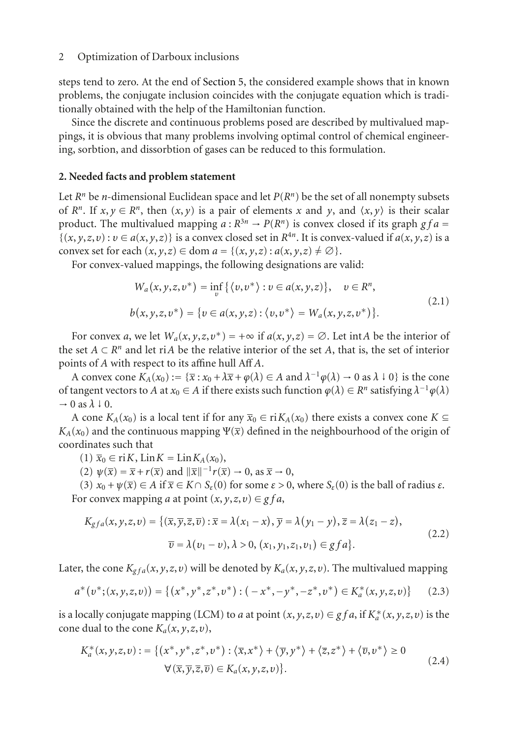steps tend to zero. At the end of [Section 5,](#page-9-0) the considered example shows that in known problems, the conjugate inclusion coincides with the conjugate equation which is traditionally obtained with the help of the Hamiltonian function.

Since the discrete and continuous problems posed are described by multivalued mappings, it is obvious that many problems involving optimal control of chemical engineering, sorbtion, and dissorbtion of gases can be reduced to this formulation.

## <span id="page-1-0"></span>**2. Needed facts and problem statement**

Let  $R^n$  be *n*-dimensional Euclidean space and let  $P(R^n)$  be the set of all nonempty subsets of  $R^n$ . If  $x, y \in R^n$ , then  $(x, y)$  is a pair of elements x and y, and  $\langle x, y \rangle$  is their scalar product. The multivalued mapping  $a: R^{3n} \to P(R^n)$  is convex closed if its graph  $gfa =$  $\{(x, y, z, v) : v \in a(x, y, z)\}\$  is a convex closed set in  $R^{4n}$ . It is convex-valued if  $a(x, y, z)$  is a convex set for each  $(x, y, z) \in \text{dom } a = \{(x, y, z) : a(x, y, z) \neq \emptyset\}.$ 

For convex-valued mappings, the following designations are valid:

$$
W_a(x, y, z, v^*) = \inf_{v} \{ \langle v, v^* \rangle : v \in a(x, y, z) \}, \quad v \in R^n,
$$
  

$$
b(x, y, z, v^*) = \{ v \in a(x, y, z) : \langle v, v^* \rangle = W_a(x, y, z, v^*) \}.
$$
 (2.1)

For convex *a*, we let  $W_a(x, y, z, v^*) = +\infty$  if  $a(x, y, z) = \emptyset$ . Let int*A* be the interior of the set  $A \subset \mathbb{R}^n$  and let ri*A* be the relative interior of the set *A*, that is, the set of interior points of *A* with respect to its affine hull Aff *A*.

A convex cone  $K_A(x_0) := {\overline{x} : x_0 + \lambda \overline{x} + \varphi(\lambda) \in A$  and  $\lambda^{-1} \varphi(\lambda) \to 0$  as  $\lambda \downarrow 0}$  is the cone of tangent vectors to *A* at  $x_0 \in A$  if there exists such function  $\varphi(\lambda) \in R^n$  satisfying  $\lambda^{-1}\varphi(\lambda)$  $\rightarrow$  0 as  $\lambda \downarrow$  0.

A cone  $K_A(x_0)$  is a local tent if for any  $\overline{x}_0 \in \text{ri } K_A(x_0)$  there exists a convex cone  $K \subseteq$  $K_A(x_0)$  and the continuous mapping  $\Psi(\bar{x})$  defined in the neighbourhood of the origin of coordinates such that

 $(1)$   $\overline{x}_0 \in \text{ri } K$ ,  $\text{Lin } K = \text{Lin } K_A(x_0)$ ,

(2)  $\psi(\overline{x}) = \overline{x} + r(\overline{x})$  and  $\|\overline{x}\|^{-1}r(\overline{x}) \to 0$ , as  $\overline{x} \to 0$ ,

(3)  $x_0 + \psi(\overline{x}) \in A$  if  $\overline{x} \in K \cap S_{\varepsilon}(0)$  for some  $\varepsilon > 0$ , where  $S_{\varepsilon}(0)$  is the ball of radius  $\varepsilon$ . For convex mapping *a* at point  $(x, y, z, v) \in gfa$ ,

$$
K_{gfa}(x, y, z, v) = \{(\overline{x}, \overline{y}, \overline{z}, \overline{v}) : \overline{x} = \lambda(x_1 - x), \overline{y} = \lambda(y_1 - y), \overline{z} = \lambda(z_1 - z),
$$
  

$$
\overline{v} = \lambda(v_1 - v), \lambda > 0, (x_1, y_1, z_1, v_1) \in gfa\}.
$$
 (2.2)

Later, the cone  $K_{gfa}(x, y, z, v)$  will be denoted by  $K_a(x, y, z, v)$ . The multivalued mapping

$$
a^*(v^*;(x,y,z,v)) = \{(x^*,y^*,z^*,v^*): (-x^*,-y^*,-z^*,v^*) \in K_a^*(x,y,z,v)\}
$$
 (2.3)

is a locally conjugate mapping (LCM) to *a* at point  $(x, y, z, v) \in gf$  *a*, if  $K_a^*(x, y, z, v)$  is the cone dual to the cone  $K_a(x, y, z, v)$ ,

$$
K_a^*(x, y, z, v) := \{ (x^*, y^*, z^*, v^*) : \langle \overline{x}, x^* \rangle + \langle \overline{y}, y^* \rangle + \langle \overline{z}, z^* \rangle + \langle \overline{v}, v^* \rangle \ge 0
$$
  
 
$$
\forall (\overline{x}, \overline{y}, \overline{z}, \overline{v}) \in K_a(x, y, z, v) \}.
$$
 (2.4)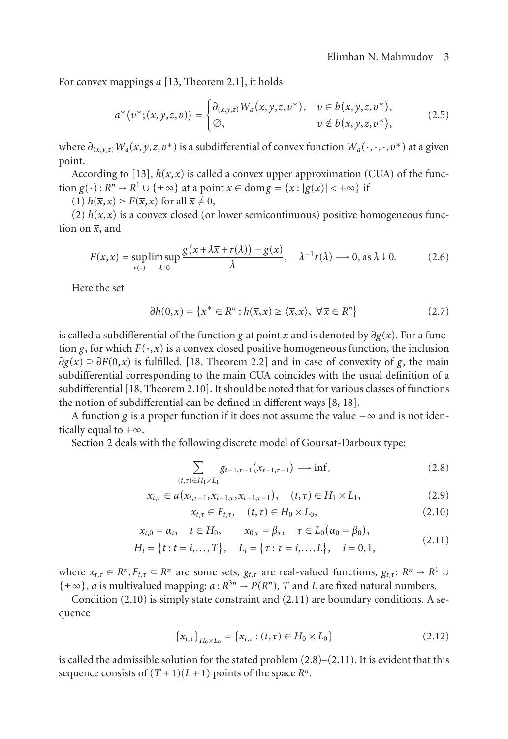For convex mappings *a* [\[13,](#page-14-2) Theorem 2.1], it holds

<span id="page-2-3"></span>
$$
a^*(v^*;(x,y,z,v)) = \begin{cases} \partial_{(x,y,z)} W_a(x,y,z,v^*), & v \in b(x,y,z,v^*), \\ \varnothing, & v \notin b(x,y,z,v^*), \end{cases}
$$
 (2.5)

where  $\partial_{(x,y,z)} W_a(x, y, z, v^*)$  is a subdifferential of convex function  $W_a(\cdot, \cdot, v^*)$  at a given point.

According to [\[13\]](#page-14-2),  $h(\bar{x},x)$  is called a convex upper approximation (CUA) of the function  $g(\cdot): R^n \to R^1 \cup \{\pm \infty\}$  at a point  $x \in \text{dom } g = \{x : |g(x)| < +\infty\}$  if

 $(1)$   $h(\overline{x}, x) \geq F(\overline{x}, x)$  for all  $\overline{x} \neq 0$ ,

(2)  $h(\bar{x},x)$  is a convex closed (or lower semicontinuous) positive homogeneous function on  $\overline{x}$ , and

$$
F(\overline{x}, x) = \sup_{r(\cdot)} \limsup_{\lambda \downarrow 0} \frac{g(x + \lambda \overline{x} + r(\lambda)) - g(x)}{\lambda}, \quad \lambda^{-1} r(\lambda) \longrightarrow 0, \text{ as } \lambda \downarrow 0. \tag{2.6}
$$

Here the set

$$
\partial h(0, x) = \{x^* \in R^n : h(\overline{x}, x) \ge \langle \overline{x}, x \rangle, \ \forall \overline{x} \in R^n\}
$$
 (2.7)

is called a subdifferential of the function *g* at point *x* and is denoted by  $\partial g(x)$ . For a function *g*, for which  $F(\cdot, x)$  is a convex closed positive homogeneous function, the inclusion  $\partial g(x) \supseteq \partial F(0,x)$  is fulfilled. [\[18,](#page-15-1) Theorem 2.2] and in case of convexity of *g*, the main subdifferential corresponding to the main CUA coincides with the usual definition of a subdifferential [\[18](#page-15-1), Theorem 2.10]. It should be noted that for various classes of functions the notion of subdifferential can be defined in different ways [\[8,](#page-14-3) [18](#page-15-1)].

A function *g* is a proper function if it does not assume the value −∞ and is not identically equal to  $+\infty$ .

[Section 2](#page-1-0) deals with the following discrete model of Goursat-Darboux type:

$$
\sum_{(t,\tau)\in H_1\times L_1} g_{t-1,\tau-1}(x_{t-1,\tau-1}) \longrightarrow \inf, \tag{2.8}
$$

$$
x_{t,\tau} \in a(x_{t,\tau-1}, x_{t-1,\tau}, x_{t-1,\tau-1}), \quad (t,\tau) \in H_1 \times L_1,
$$
\n(2.9)

<span id="page-2-2"></span><span id="page-2-1"></span><span id="page-2-0"></span>
$$
x_{t,\tau} \in F_{t,\tau}, \quad (t,\tau) \in H_0 \times L_0,\tag{2.10}
$$

$$
x_{t,0} = \alpha_t, \quad t \in H_0, \qquad x_{0,\tau} = \beta_\tau, \quad \tau \in L_0(\alpha_0 = \beta_0), \tag{2.11}
$$

$$
H_i = \{t : t = i, ..., T\}, \quad L_i = \{\tau : \tau = i, ..., L\}, \quad i = 0, 1,
$$
\n(2.11)

where  $x_{t,\tau} \in R^n, F_{t,\tau} \subseteq R^n$  are some sets,  $g_{t,\tau}$  are real-valued functions,  $g_{t,\tau}: R^n \to R^1 \cup$  ${\pm \infty}$ , *a* is multivalued mapping: *a* :  $R^{3n} \rightarrow P(R^n)$ , *T* and *L* are fixed natural numbers.

Condition [\(2.10\)](#page-2-0) is simply state constraint and [\(2.11\)](#page-2-1) are boundary conditions. A sequence

$$
\{x_{t,\tau}\}_{H_0 \times L_0} = \{x_{t,\tau} : (t,\tau) \in H_0 \times L_0\}
$$
\n(2.12)

is called the admissible solution for the stated problem [\(2.8\)](#page-2-2)–[\(2.11\)](#page-2-1). It is evident that this sequence consists of  $(T+1)(L+1)$  points of the space  $R^n$ .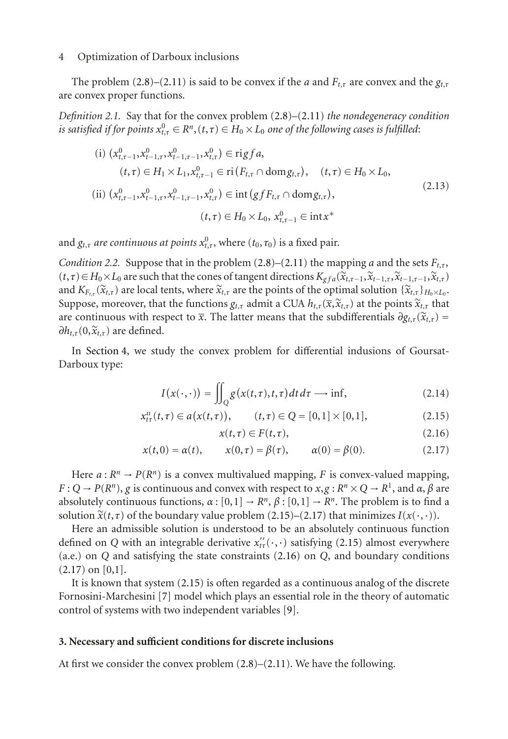The problem [\(2.8\)](#page-2-2)–[\(2.11\)](#page-2-1) is said to be convex if the *a* and  $F_{t,\tau}$  are convex and the  $g_{t,\tau}$ are convex proper functions.

*Definition 2.1.* Say that for the convex problem [\(2.8\)](#page-2-2)–[\(2.11\)](#page-2-1) *the nondegeneracy condition is satisfied if for points*  $x_{t,\tau}^0 \in R^n$ ,  $(t,\tau) \in H_0 \times L_0$  *one of the following cases is fulfilled*:

$$
(i) \ (x_{t,\tau-1}^{0}, x_{t-1,\tau}^{0}, x_{t-1,\tau-1}^{0}, x_{t,\tau}^{0}) \in \text{rig} f a,
$$
\n
$$
(t,\tau) \in H_1 \times L_1, x_{t,\tau-1}^{0} \in \text{ri} (F_{t,\tau} \cap \text{dom} g_{t,\tau}), \quad (t,\tau) \in H_0 \times L_0,
$$
\n
$$
(ii) \ (x_{t,\tau-1}^{0}, x_{t-1,\tau}^{0}, x_{t-1,\tau-1}^{0}, x_{t,\tau}^{0}) \in \text{int} (gf F_{t,\tau} \cap \text{dom} g_{t,\tau}),
$$
\n
$$
(t,\tau) \in H_0 \times L_0, x_{t,\tau-1}^{0} \in \text{int} x^{*}
$$
\n
$$
(2.13)
$$

<span id="page-3-3"></span>and  $g_{t,\tau}$  *are continuous at points*  $x_{t,\tau}^{0}$ , where  $(t_{0},\tau_{0})$  is a fixed pair.

*Condition 2.2.* Suppose that in the problem  $(2.8)$ – $(2.11)$  the mapping *a* and the sets  $F_{t,t}$ ,  $(t, τ) ∈ H<sub>0</sub> × L<sub>0</sub>$  are such that the cones of tangent directions  $K<sub>g f a</sub>(\tilde{x}_{t, τ-1}, \tilde{x}_{t-1, τ}, \tilde{x}_{t-1, τ-1}, \tilde{x}_{t, τ})$ and  $K_{F,\tau}(\tilde{x}_{t,\tau})$  are local tents, where  $\tilde{x}_{t,\tau}$  are the points of the optimal solution  $\{\tilde{x}_{t,\tau}\}_{t>0}$ ,  $\mathcal{X}_{t,\tau}$ Suppose, moreover, that the functions  $g_{t,\tau}$  admit a CUA  $h_{t,\tau}(\overline{x}, \widetilde{x}_{t,\tau})$  at the points  $\widetilde{x}_{t,\tau}$  that are continuous with respect to  $\bar{x}$ . The latter means that the subdifferentials  $\partial g_{t,\tau}(\tilde{x}_{t,\tau}) =$  $\partial h_{t,\tau}(0,\widetilde{x}_{t,\tau})$  are defined.

In [Section 4,](#page-6-0) we study the convex problem for differential indusions of Goursat-Darboux type:

$$
I(x(\cdot,\cdot)) = \iint_{Q} g(x(t,\tau),t,\tau) dt d\tau \longrightarrow \inf, \qquad (2.14)
$$

$$
x_{t\tau}^{u}(t,\tau) \in a(x(t,\tau)), \qquad (t,\tau) \in Q = [0,1] \times [0,1], \qquad (2.15)
$$

<span id="page-3-5"></span><span id="page-3-2"></span><span id="page-3-1"></span><span id="page-3-0"></span>
$$
x(t,\tau) \in F(t,\tau),\tag{2.16}
$$

$$
x(t,0) = \alpha(t), \qquad x(0,\tau) = \beta(\tau), \qquad \alpha(0) = \beta(0).
$$
 (2.17)

Here  $a: \mathbb{R}^n \to P(\mathbb{R}^n)$  is a convex multivalued mapping, *F* is convex-valued mapping,  $F: Q \to P(R^n)$ , *g* is continuous and convex with respect to  $x, g: R^n \times Q \to R^1$ , and  $\alpha, \beta$  are absolutely continuous functions,  $\alpha$  :  $[0,1] \rightarrow R^n$ ,  $\beta$  :  $[0,1] \rightarrow R^n$ . The problem is to find a solution  $\tilde{x}(t, \tau)$  of the boundary value problem [\(2.15\)](#page-3-0)–[\(2.17\)](#page-3-1) that minimizes  $I(x(\cdot, \cdot))$ .

Here an admissible solution is understood to be an absolutely continuous function defined on *Q* with an integrable derivative  $x''_{t\tau}(\cdot,\cdot)$  satisfying [\(2.15\)](#page-3-0) almost everywhere (a.e.) on *Q* and satisfying the state constraints [\(2.16\)](#page-3-2) on *Q*, and boundary conditions  $(2.17)$  on  $[0,1]$ .

It is known that system [\(2.15\)](#page-3-0) is often regarded as a continuous analog of the discrete Fornosini-Marchesini [\[7](#page-14-4)] model which plays an essential role in the theory of automatic control of systems with two independent variables [\[9](#page-14-5)].

## <span id="page-3-6"></span>**3. Necessary and sufficient conditions for discrete inclusions**

<span id="page-3-4"></span>At first we consider the convex problem [\(2.8\)](#page-2-2)–[\(2.11\)](#page-2-1). We have the following.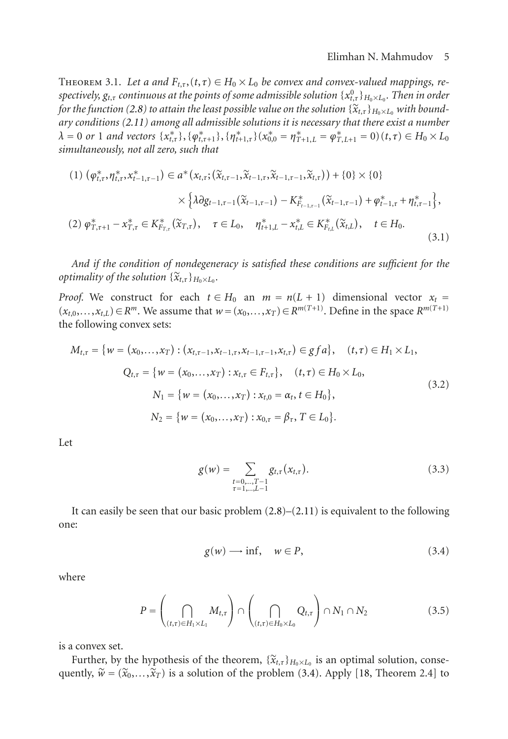THEOREM 3.1. Let a and  $F_{t,\tau}$ ,  $(t,\tau) \in H_0 \times L_0$  be convex and convex-valued mappings, re*spectively, gt*,*<sup>τ</sup> continuous at the points of some admissible solution* {*x*<sup>0</sup> *<sup>t</sup>*,*τ*}*H*0×*L*<sup>0</sup> *. Then in order for the function [\(2.8\)](#page-2-2) to attain the least possible value on the solution*  $\{x_{t,t}\}_{t\in\mathbb{Z}_p}$  *with boundary conditions [\(2.11\)](#page-2-1) among all admissible solutions it is necessary that there exist a number*  $\lambda = 0$  or 1 and vectors  $\{x_{t,\tau}^*\}, \{\varphi_{t,\tau+1}^*\}, \{\eta_{t+1,\tau}^*\}\, (x_{0,0}^* = \eta_{T+1,L}^* = \varphi_{T,L+1}^* = 0)$  $(t,\tau) \in H_0 \times L_0$ *simultaneously, not all zero, such that*

$$
(1) \ (\varphi_{t,\tau}^*, \eta_{t,\tau}^*, x_{t-1,\tau-1}^*) \in a^* (x_{t,\tau}; (\widetilde{x}_{t,\tau-1}, \widetilde{x}_{t-1,\tau}, \widetilde{x}_{t-1,\tau-1}, \widetilde{x}_{t,\tau})) + \{0\} \times \{0\} \times \{\lambda \partial g_{t-1,\tau-1} (\widetilde{x}_{t-1,\tau-1}) - K_{F_{t-1,\tau-1}}^* (\widetilde{x}_{t-1,\tau-1}) + \varphi_{t-1,\tau}^* + \eta_{t,\tau-1}^* \},
$$
  
\n
$$
(2) \ \varphi_{T,\tau+1}^* - x_{T,\tau}^* \in K_{F_{T,\tau}}^* (\widetilde{x}_{T,\tau}), \quad \tau \in L_0, \quad \eta_{t+1,L}^* - x_{t,L}^* \in K_{F_{t,L}}^* (\widetilde{x}_{t,L}), \quad t \in H_0.
$$
  
\n
$$
(3.1)
$$

*And if the condition of nondegeneracy is satisfied these conditions are sufficient for the optimality of the solution*  $\{\widetilde{\mathbf{x}}_{t,\tau}\}_{H_0 \times L_0}$ *.* 

*Proof.* We construct for each  $t \in H_0$  an  $m = n(L + 1)$  dimensional vector  $x_t =$ (*xt*,0,*...*,*xt*,*L*)∈*Rm*. We assume that *w*=(*x*0,*...*,*xT*)∈*Rm*(*T*+1). Define in the space *Rm*(*T*+1) the following convex sets:

$$
M_{t,\tau} = \{ w = (x_0, \dots, x_T) : (x_{t,\tau-1}, x_{t-1,\tau}, x_{t-1,\tau-1}, x_{t,\tau}) \in gf a \}, \quad (t,\tau) \in H_1 \times L_1,
$$
  

$$
Q_{t,\tau} = \{ w = (x_0, \dots, x_T) : x_{t,\tau} \in F_{t,\tau} \}, \quad (t,\tau) \in H_0 \times L_0,
$$
  

$$
N_1 = \{ w = (x_0, \dots, x_T) : x_{t,0} = \alpha_t, t \in H_0 \},
$$
  

$$
N_2 = \{ w = (x_0, \dots, x_T) : x_{0,\tau} = \beta_\tau, T \in L_0 \}.
$$
  
(3.2)

Let

$$
g(w) = \sum_{\substack{t=0,\ldots,T-1\\ \tau=1,\ldots,L-1}} g_{t,\tau}(x_{t,\tau}).
$$
\n(3.3)

It can easily be seen that our basic problem  $(2.8)$ – $(2.11)$  is equivalent to the following one:

<span id="page-4-0"></span>
$$
g(w) \longrightarrow \inf, \quad w \in P,\tag{3.4}
$$

where

$$
P = \left(\bigcap_{(t,\tau)\in H_1\times L_1} M_{t,\tau}\right) \cap \left(\bigcap_{(t,\tau)\in H_0\times L_0} Q_{t,\tau}\right) \cap N_1 \cap N_2 \tag{3.5}
$$

is a convex set.

Further, by the hypothesis of the theorem,  $\{\mathbf{x}_{t,\tau}\}_{H_0 \times L_0}$  is an optimal solution, consequently,  $\widetilde{w} = (\widetilde{x}_0, \ldots, \widetilde{x}_T)$  is a solution of the problem [\(3.4\)](#page-4-0). Apply [\[18](#page-15-1), Theorem 2.4] to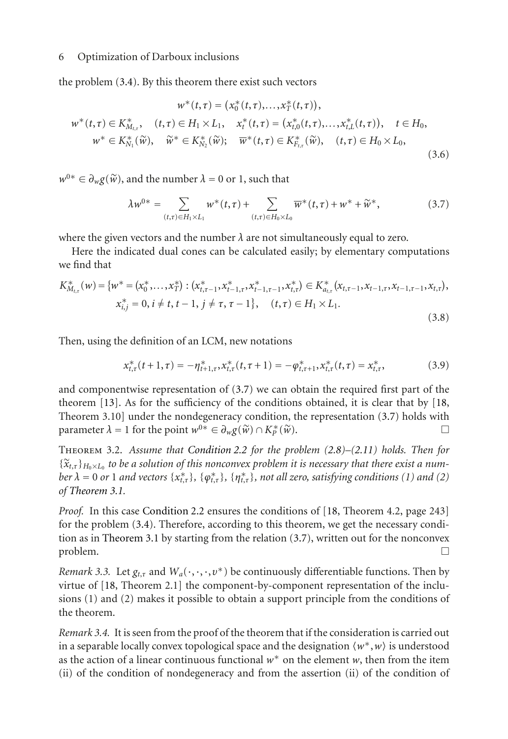the problem [\(3.4\)](#page-4-0). By this theorem there exist such vectors

$$
w^*(t, \tau) = (x_0^*(t, \tau), \dots, x_T^*(t, \tau)),
$$
  
\n
$$
w^*(t, \tau) \in K_{M_{t, \tau}}^*, \quad (t, \tau) \in H_1 \times L_1, \quad x_t^*(t, \tau) = (x_{t,0}^*(t, \tau), \dots, x_{t,L}^*(t, \tau)), \quad t \in H_0,
$$
  
\n
$$
w^* \in K_{N_1}^*(\widetilde{w}), \quad \widetilde{w}^* \in K_{N_2}^*(\widetilde{w}); \quad \overline{w}^*(t, \tau) \in K_{F_{t, \tau}}^*(\widetilde{w}), \quad (t, \tau) \in H_0 \times L_0,
$$
  
\n(3.6)

 $w^{0*} \in \partial_w g(\widetilde{w})$ , and the number  $\lambda = 0$  or 1, such that

<span id="page-5-0"></span>
$$
\lambda w^{0*} = \sum_{(t,\tau) \in H_1 \times L_1} w^*(t,\tau) + \sum_{(t,\tau) \in H_0 \times L_0} \overline{w}^*(t,\tau) + w^* + \widetilde{w}^*,
$$
 (3.7)

where the given vectors and the number  $\lambda$  are not simultaneously equal to zero.

Here the indicated dual cones can be calculated easily; by elementary computations we find that

$$
K_{M_{t,\tau}}^{*}(w) = \{w^{*} = (x_{0}^{*},...,x_{T}^{*}): (x_{t,\tau-1}^{*}, x_{t-1,\tau}^{*}, x_{t-1,\tau-1}^{*}, x_{t,\tau}^{*}) \in K_{a_{t,\tau}}^{*}(x_{t,\tau-1}, x_{t-1,\tau}, x_{t-1,\tau-1}, x_{t,\tau}),
$$
  
\n
$$
x_{i,j}^{*} = 0, i \neq t, t-1, j \neq \tau, \tau-1\}, \quad (t,\tau) \in H_{1} \times L_{1}.
$$
\n(3.8)

Then, using the definition of an LCM, new notations

$$
x_{t,\tau}^*(t+1,\tau) = -\eta_{t+1,\tau}^*, x_{t,\tau}^*(t,\tau+1) = -\varphi_{t,\tau+1}^*, x_{t,\tau}^*(t,\tau) = x_{t,\tau}^*,
$$
\n(3.9)

and componentwise representation of [\(3.7\)](#page-5-0) we can obtain the required first part of the theorem [\[13](#page-14-2)]. As for the sufficiency of the conditions obtained, it is clear that by [\[18,](#page-15-1) Theorem 3.10] under the nondegeneracy condition, the representation [\(3.7\)](#page-5-0) holds with parameter  $\lambda = 1$  for the point  $w^{0*} \in \partial_w g(\widetilde{w}) \cap K^*_{\mathcal{P}}(\widetilde{w})$ .  $\Box$   $\Box$ 

Theorem 3.2. *Assume that [Condition 2.2](#page-3-3) for the problem [\(2.8\)](#page-2-2)–[\(2.11\)](#page-2-1) holds. Then for*  $\{\widetilde{\mathbf{x}}_{t,\tau}\}_{H_0\times L_0}$  to be a solution of this nonconvex problem it is necessary that there exist a num*ber*  $\lambda = 0$  *or* 1 *and vectors* { $x_{t,\tau}^*$ }, { $\varphi_{t,\tau}^*$ }, *not all zero, satisfying conditions* (1) *and* (2) *of [Theorem 3.1.](#page-3-4)*

*Proof.* In this case [Condition 2.2](#page-3-3) ensures the conditions of [\[18,](#page-15-1) Theorem 4.2, page 243] for the problem [\(3.4\)](#page-4-0). Therefore, according to this theorem, we get the necessary condition as in [Theorem 3.1](#page-3-4) by starting from the relation [\(3.7\)](#page-5-0), written out for the nonconvex  $\Box$ 

*Remark 3.3.* Let  $g_{t,\tau}$  and  $W_a(\cdot,\cdot,\cdot,\nu^*)$  be continuously differentiable functions. Then by virtue of [\[18](#page-15-1), Theorem 2.1] the component-by-component representation of the inclusions (1) and (2) makes it possible to obtain a support principle from the conditions of the theorem.

*Remark 3.4.* It is seen from the proof of the theorem that if the consideration is carried out in a separable locally convex topological space and the designation *w*∗,*w* is understood as the action of a linear continuous functional *w*<sup>∗</sup> on the element *w*, then from the item (ii) of the condition of nondegeneracy and from the assertion (ii) of the condition of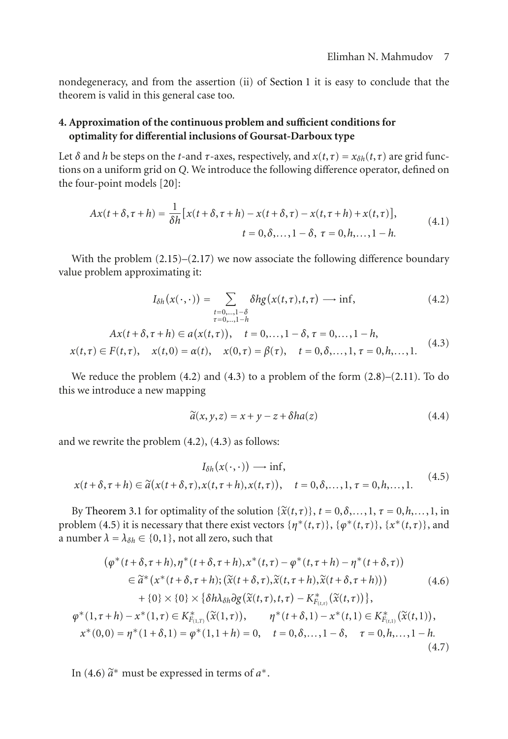nondegeneracy, and from the assertion (ii) of [Section 1](#page-0-0) it is easy to conclude that the theorem is valid in this general case too.

# <span id="page-6-0"></span>**4. Approximation of the continuous problem and sufficient conditions for optimality for differential inclusions of Goursat-Darboux type**

Let  $\delta$  and *h* be steps on the *t*-and  $\tau$ -axes, respectively, and  $x(t, \tau) = x_{\delta h}(t, \tau)$  are grid functions on a uniform grid on *Q*. We introduce the following difference operator, defined on the four-point models [\[20](#page-15-2)]:

$$
Ax(t+\delta,\tau+h) = \frac{1}{\delta h} [x(t+\delta,\tau+h) - x(t+\delta,\tau) - x(t,\tau+h) + x(t,\tau)],
$$
  
\n
$$
t = 0, \delta, ..., 1 - \delta, \ \tau = 0, h, ..., 1 - h.
$$
\n(4.1)

With the problem  $(2.15)$ – $(2.17)$  we now associate the following difference boundary value problem approximating it:

<span id="page-6-1"></span>
$$
I_{\delta h}(x(\cdot,\cdot)) = \sum_{\substack{t=0,\dots,1-\delta\\ \tau=0,\dots,1-h}} \delta h g(x(t,\tau),t,\tau) \longrightarrow \inf, \tag{4.2}
$$

$$
Ax(t+\delta,\tau+h) \in a(x(t,\tau)), \quad t = 0,\ldots, 1-\delta, \tau = 0,\ldots, 1-h,x(t,\tau) \in F(t,\tau), \quad x(t,0) = \alpha(t), \quad x(0,\tau) = \beta(\tau), \quad t = 0,\delta,\ldots, 1, \tau = 0,h,\ldots, 1.
$$
 (4.3)

We reduce the problem  $(4.2)$  and  $(4.3)$  to a problem of the form  $(2.8)$ – $(2.11)$ . To do this we introduce a new mapping

<span id="page-6-6"></span><span id="page-6-4"></span><span id="page-6-3"></span><span id="page-6-2"></span>
$$
\widetilde{a}(x, y, z) = x + y - z + \delta h a(z) \tag{4.4}
$$

and we rewrite the problem [\(4.2\)](#page-6-1), [\(4.3\)](#page-6-2) as follows:

$$
I_{\delta h}(x(\cdot,\cdot)) \longrightarrow \inf, x(t+\delta,\tau+h) \in \tilde{a}(x(t+\delta,\tau),x(t,\tau+h),x(t,\tau)), \quad t = 0,\delta,\ldots,1, \tau = 0,h,\ldots,1.
$$
 (4.5)

By [Theorem 3.1](#page-3-4) for optimality of the solution  $\{\tilde{x}(t, \tau)\}\$ ,  $t = 0, \delta, \ldots, 1$ ,  $\tau = 0, h, \ldots, 1$ , in problem [\(4.5\)](#page-6-3) it is necessary that there exist vectors  $\{\eta^*(t,\tau)\}, \{\varphi^*(t,\tau)\}, \{x^*(t,\tau)\},$  and a number  $\lambda = \lambda_{\delta h} \in \{0, 1\}$ , not all zero, such that

$$
(\varphi^*(t+\delta,\tau+h),\eta^*(t+\delta,\tau+h),x^*(t,\tau)-\varphi^*(t,\tau+h)-\eta^*(t+\delta,\tau))
$$
  
\n
$$
\in \tilde{a}^*(x^*(t+\delta,\tau+h);(\tilde{x}(t+\delta,\tau),\tilde{x}(t,\tau+h),\tilde{x}(t+\delta,\tau+h)))
$$
\n
$$
+ \{0\} \times \{0\} \times \{\delta h \lambda_{\delta h} \partial g(\tilde{x}(t,\tau),t,\tau) - K^*_{F(t,\tau)}(\tilde{x}(t,\tau))\},
$$
\n
$$
\varphi^*(1,\tau+h)-x^*(1,\tau) \in K^*_{F(t,\tau)}(\tilde{x}(1,\tau)), \qquad \eta^*(t+\delta,1)-x^*(t,1) \in K^*_{F(t,\tau)}(\tilde{x}(t,1)),
$$
\n
$$
x^*(0,0)=\eta^*(1+\delta,1)=\varphi^*(1,1+h)=0, \quad t=0,\delta,\ldots,1-\delta, \quad \tau=0,h,\ldots,1-h.
$$
\n(4.7)

<span id="page-6-5"></span>In [\(4.6\)](#page-6-4)  $\tilde{a}^*$  must be expressed in terms of  $a^*$ .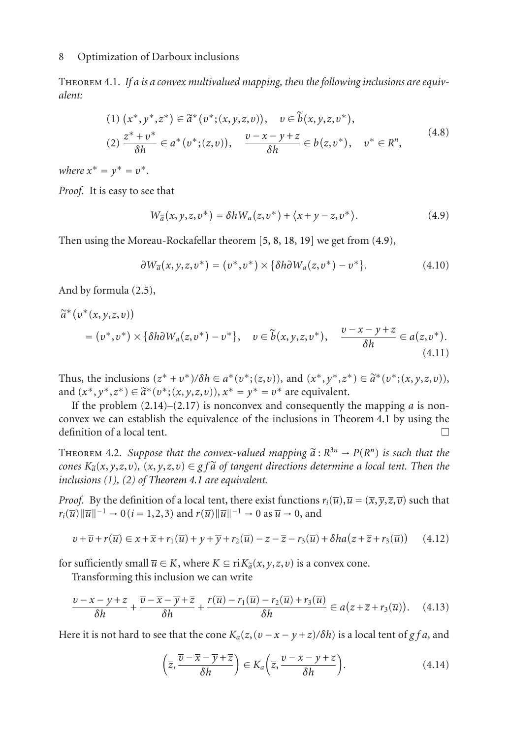Theorem 4.1. *If a is a convex multivalued mapping, then the following inclusions are equivalent:*

(1) 
$$
(x^*, y^*, z^*) \in \tilde{a}^*(v^*; (x, y, z, v)), \quad v \in \tilde{b}(x, y, z, v^*),
$$
  
\n(2)  $\frac{z^* + v^*}{\delta h} \in a^*(v^*; (z, v)), \quad \frac{v - x - y + z}{\delta h} \in b(z, v^*), \quad v^* \in R^n,$  (4.8)

*where*  $x^* = y^* = v^*$ .

*Proof.* It is easy to see that

<span id="page-7-0"></span>
$$
W_{\widetilde{a}}(x, y, z, v^*) = \delta h W_a(z, v^*) + \langle x + y - z, v^* \rangle.
$$
 (4.9)

Then using the Moreau-Rockafellar theorem [\[5,](#page-14-6) [8,](#page-14-3) [18](#page-15-1), [19\]](#page-15-0) we get from [\(4.9\)](#page-7-0),

$$
\partial W_{\overline{a}}(x, y, z, v^*) = (v^*, v^*) \times {\delta h \partial W_a(z, v^*) - v^*}.
$$
 (4.10)

And by formula [\(2.5\)](#page-2-3),

$$
\widetilde{a}^*(v^*(x, y, z, v))
$$
\n
$$
= (v^*, v^*) \times \{\delta h \partial W_a(z, v^*) - v^*\}, \quad v \in \widetilde{b}(x, y, z, v^*), \quad \frac{v - x - y + z}{\delta h} \in a(z, v^*).
$$
\n(4.11)

Thus, the inclusions  $(z^* + v^*)/\delta h \in a^*(v^*; (z, v))$ , and  $(x^*, y^*, z^*) \in \tilde{a}^*(v^*; (x, y, z, v))$ , and  $(x^*, y^*, z^*) \in \tilde{a}^*(v^*; (x, y, z, v))$ ,  $x^* = y^* = v^*$  are equivalent.

If the problem  $(2.14)$ – $(2.17)$  is nonconvex and consequently the mapping *a* is nonconvex we can establish the equivalence of the inclusions in [Theorem 4.1](#page-6-5) by using the definition of a local tent.  $\Box$ 

<span id="page-7-2"></span>THEOREM 4.2. Suppose that the convex-valued mapping  $\tilde{a}: R^{3n} \to P(R^n)$  is such that the *cones*  $K_{\alpha}(x, y, z, v)$ ,  $(x, y, z, v) \in g f \tilde{a}$  *of tangent directions determine a local tent. Then the inclusions (1), (2) of [Theorem 4.1](#page-6-5) are equivalent.*

*Proof.* By the definition of a local tent, there exist functions  $r_i(\overline{u}), \overline{u} = (\overline{x}, \overline{y}, \overline{z}, \overline{v})$  such that  $r_i(\overline{u})\|\overline{u}\|^{-1} \to 0$  (*i* = 1, 2, 3) and  $r(\overline{u})\|\overline{u}\|^{-1} \to 0$  as  $\overline{u} \to 0$ , and

$$
v + \overline{v} + r(\overline{u}) \in x + \overline{x} + r_1(\overline{u}) + y + \overline{y} + r_2(\overline{u}) - z - \overline{z} - r_3(\overline{u}) + \delta h a (z + \overline{z} + r_3(\overline{u})) \tag{4.12}
$$

for sufficiently small  $\overline{u} \in K$ , where  $K \subseteq \text{ri} K_{\widetilde{a}}(x, y, z, v)$  is a convex cone.

Transforming this inclusion we can write

$$
\frac{v-x-y+z}{\delta h} + \frac{\overline{v}-\overline{x}-\overline{y}+\overline{z}}{\delta h} + \frac{r(\overline{u})-r_1(\overline{u})-r_2(\overline{u})+r_3(\overline{u})}{\delta h} \in a(z+\overline{z}+r_3(\overline{u})). \quad (4.13)
$$

Here it is not hard to see that the cone  $K_a(z, (v - x - y + z)/\delta h)$  is a local tent of *g f a*, and

<span id="page-7-1"></span>
$$
\left(\overline{z}, \frac{\overline{v} - \overline{x} - \overline{y} + \overline{z}}{\delta h}\right) \in K_a\left(\overline{z}, \frac{v - x - y + z}{\delta h}\right). \tag{4.14}
$$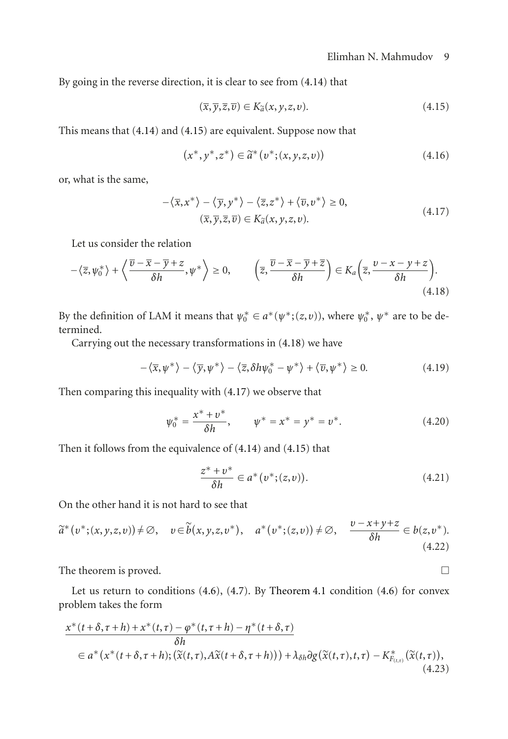By going in the reverse direction, it is clear to see from [\(4.14\)](#page-7-1) that

<span id="page-8-0"></span>
$$
(\overline{x}, \overline{y}, \overline{z}, \overline{v}) \in K_{\widetilde{a}}(x, y, z, v).
$$
 (4.15)

This means that [\(4.14\)](#page-7-1) and [\(4.15\)](#page-8-0) are equivalent. Suppose now that

<span id="page-8-2"></span>
$$
(x^*, y^*, z^*) \in \tilde{a}^*(v^*; (x, y, z, v))
$$
\n(4.16)

or, what is the same,

<span id="page-8-1"></span>
$$
-\langle \overline{x}, x^* \rangle - \langle \overline{y}, y^* \rangle - \langle \overline{z}, z^* \rangle + \langle \overline{v}, v^* \rangle \ge 0,
$$
  

$$
(\overline{x}, \overline{y}, \overline{z}, \overline{v}) \in K_{\tilde{a}}(x, y, z, v).
$$
 (4.17)

Let us consider the relation

$$
-\langle \overline{z}, \psi_0^* \rangle + \langle \frac{\overline{v} - \overline{x} - \overline{y} + z}{\delta h}, \psi^* \rangle \ge 0, \qquad \left( \overline{z}, \frac{\overline{v} - \overline{x} - \overline{y} + \overline{z}}{\delta h} \right) \in K_a \left( \overline{z}, \frac{v - x - y + z}{\delta h} \right). \tag{4.18}
$$

By the definition of LAM it means that  $\psi_0^* \in a^*(\psi^*; (z, v))$ , where  $\psi_0^*$ ,  $\psi^*$  are to be determined.

Carrying out the necessary transformations in [\(4.18\)](#page-8-1) we have

$$
-\langle \overline{x}, \psi^* \rangle - \langle \overline{y}, \psi^* \rangle - \langle \overline{z}, \delta h \psi_0^* - \psi^* \rangle + \langle \overline{v}, \psi^* \rangle \ge 0.
$$
 (4.19)

Then comparing this inequality with [\(4.17\)](#page-8-2) we observe that

$$
\psi_0^* = \frac{x^* + v^*}{\delta h}, \qquad \psi^* = x^* = y^* = v^*.
$$
 (4.20)

Then it follows from the equivalence of [\(4.14\)](#page-7-1) and [\(4.15\)](#page-8-0) that

<span id="page-8-3"></span>
$$
\frac{z^* + v^*}{\delta h} \in a^*(v^*; (z, v)).
$$
\n(4.21)

On the other hand it is not hard to see that

$$
\widetilde{a}^*(v^*;(x,y,z,v)) \neq \emptyset, \quad v \in \widetilde{b}(x,y,z,v^*), \quad a^*(v^*;(z,v)) \neq \emptyset, \quad \frac{v - x + y + z}{\delta h} \in b(z,v^*).
$$
\n(4.22)

The theorem is proved.  $\Box$ 

Let us return to conditions [\(4.6\)](#page-6-4), [\(4.7\)](#page-6-6). By [Theorem 4.1](#page-6-5) condition [\(4.6\)](#page-6-4) for convex problem takes the form

$$
\frac{x^*(t+\delta,\tau+h)+x^*(t,\tau)-\varphi^*(t,\tau+h)-\eta^*(t+\delta,\tau)}{\delta h}
$$
\n
$$
\in a^*(x^*(t+\delta,\tau+h);(\tilde{x}(t,\tau),A\tilde{x}(t+\delta,\tau+h)))+\lambda_{\delta h}\partial g(\tilde{x}(t,\tau),t,\tau)-K^*_{F_{(t,\tau)}}(\tilde{x}(t,\tau)),
$$
\n(4.23)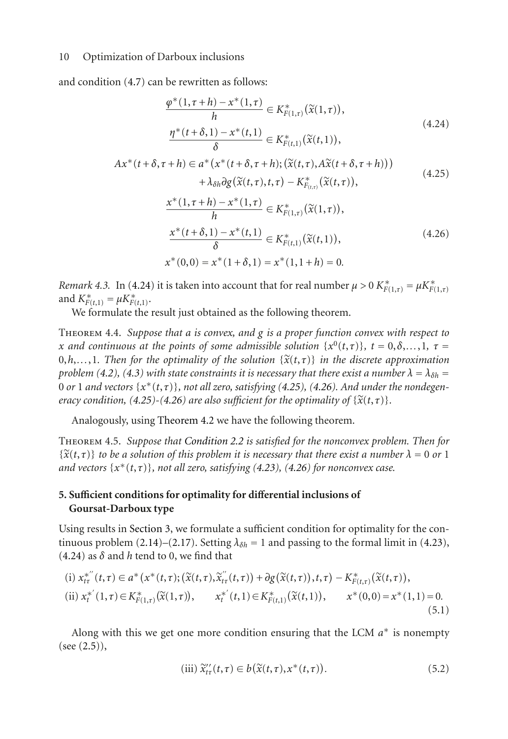and condition [\(4.7\)](#page-6-6) can be rewritten as follows:

<span id="page-9-2"></span><span id="page-9-1"></span>
$$
\frac{\varphi^*(1,\tau+h) - x^*(1,\tau)}{h} \in K^*_{F(1,\tau)}(\tilde{x}(1,\tau)),
$$
\n
$$
\frac{\eta^*(t+\delta,1) - x^*(t,1)}{\delta} \in K^*_{F(t,1)}(\tilde{x}(t,1)),
$$
\n(4.24)

$$
Ax^*(t+\delta,\tau+h) \in a^*(x^*(t+\delta,\tau+h);(\widetilde{x}(t,\tau),A\widetilde{x}(t+\delta,\tau+h)))+ \lambda_{\delta h} \partial g(\widetilde{x}(t,\tau),t,\tau) - K^*_{F_{(t,\tau)}}(\widetilde{x}(t,\tau)),
$$
\n(4.25)

<span id="page-9-3"></span>
$$
\frac{x^*(1,\tau+h)-x^*(1,\tau)}{h} \in K_{F(1,\tau)}^*(\tilde{x}(1,\tau)),
$$
\n
$$
\frac{x^*(t+\delta,1)-x^*(t,1)}{\delta} \in K_{F(t,1)}^*(\tilde{x}(t,1)),
$$
\n
$$
x^*(0,0) = x^*(1+\delta,1) = x^*(1,1+h) = 0.
$$
\n(4.26)

*Remark 4.3.* In [\(4.24\)](#page-9-1) it is taken into account that for real number  $\mu > 0$   $K^*_{F(1,\tau)} = \mu K^*_{F(1,\tau)}$ and  $K_{F(t,1)}^* = \mu K_{F(t,1)}^*$ .

We formulate the result just obtained as the following theorem.

Theorem 4.4. *Suppose that a is convex, and g is a proper function convex with respect to x* and continuous at the points of some admissible solution  $\{x^0(t,\tau)\}, t = 0, \delta, \ldots, 1, \tau = 0$  $0, h, \ldots, 1$ . Then for the optimality of the solution  $\{\widetilde{x}(t, \tau)\}$  in the discrete approximation *problem* [\(4.2\)](#page-6-1), [\(4.3\)](#page-6-2) with state constraints it is necessary that there exist a number  $\lambda = \lambda_{\delta h}$  = 0 or 1 and vectors  $\{x^*(t, \tau)\}\$ , not all zero, satisfying [\(4.25\)](#page-9-2), [\(4.26\)](#page-9-3). And under the nondegen*eracy condition,* [\(4.25\)](#page-9-2)-[\(4.26\)](#page-9-3) are also sufficient for the optimality of  $\{\tilde{x}(t,\tau)\}$ .

Analogously, using [Theorem 4.2](#page-7-2) we have the following theorem.

Theorem 4.5. *Suppose that [Condition 2.2](#page-3-3) is satisfied for the nonconvex problem. Then for*  $\{\widetilde{x}(t,\tau)\}\$  *to be a solution of this problem it is necessary that there exist a number*  $\lambda = 0$  *or* 1 *and vectors* {*x*∗(*t*,*τ*)}*, not all zero, satisfying [\(4.23\)](#page-8-3), [\(4.26\)](#page-9-3) for nonconvex case.*

# <span id="page-9-0"></span>**5. Sufficient conditions for optimality for differential inclusions of Goursat-Darboux type**

Using results in [Section 3,](#page-3-6) we formulate a sufficient condition for optimality for the con-tinuous problem [\(2.14\)](#page-3-5)–[\(2.17\)](#page-3-1). Setting  $\lambda_{\delta h} = 1$  and passing to the formal limit in [\(4.23\)](#page-8-3), [\(4.24\)](#page-9-1) as  $\delta$  and *h* tend to 0, we find that

$$
\begin{aligned} \n\text{(i)} \ x_{t\tau}^{*''}(t,\tau) &\in a^*(x^*(t,\tau); (\widetilde{x}(t,\tau),\widetilde{x}_{t\tau}''(t,\tau)) + \partial g(\widetilde{x}(t,\tau)), t,\tau) - K_{F(t,\tau)}^*(\widetilde{x}(t,\tau)),\\ \n\text{(ii)} \ x_t^{*'}(1,\tau) &\in K_{F(1,\tau)}^*(\widetilde{x}(1,\tau)), \qquad x_t^{*'}(t,1) \in K_{F(t,1)}^*(\widetilde{x}(t,1)), \qquad x^*(0,0) = x^*(1,1) = 0.\\ \n\text{(5.1)} \n\end{aligned}
$$

Along with this we get one more condition ensuring that the LCM *a*<sup>∗</sup> is nonempty  $(see (2.5)),$  $(see (2.5)),$  $(see (2.5)),$ 

(iii) 
$$
\widetilde{x}''_{t\tau}(t,\tau) \in b(\widetilde{x}(t,\tau),x^*(t,\tau)).
$$
 (5.2)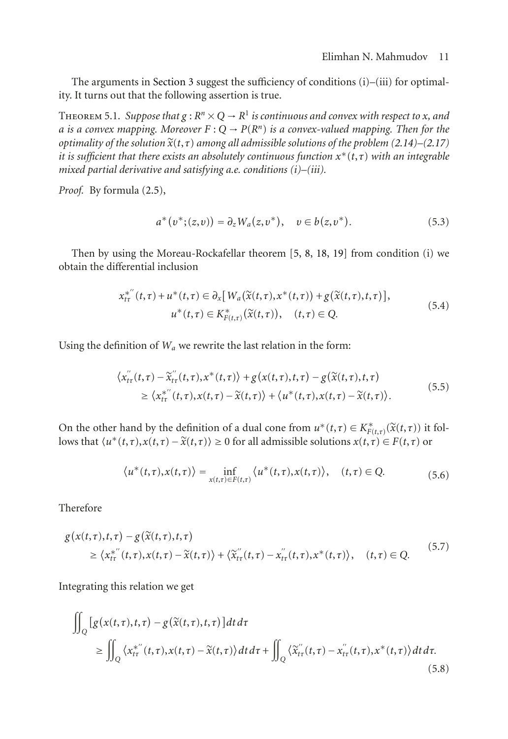The arguments in [Section 3](#page-3-6) suggest the sufficiency of conditions (i)–(iii) for optimality. It turns out that the following assertion is true.

<span id="page-10-1"></span>THEOREM 5.1. *Suppose that*  $g : R^n \times Q \to R^1$  *is continuous and convex with respect to x, and a* is a convex mapping. Moreover  $F: Q \to P(R^n)$  is a convex-valued mapping. Then for the *optimality of the solution*  $\tilde{x}(t, \tau)$  *among all admissible solutions of the problem* [\(2.14\)](#page-3-5)–[\(2.17\)](#page-3-1) *it is sufficient that there exists an absolutely continuous function*  $x^*(t, \tau)$  *with an integrable mixed partial derivative and satisfying a.e. conditions (i)–(iii).*

*Proof.* By formula [\(2.5\)](#page-2-3),

$$
a^*(v^*;(z,v)) = \partial_z W_a(z,v^*), \quad v \in b(z,v^*).
$$
 (5.3)

Then by using the Moreau-Rockafellar theorem [\[5](#page-14-6), [8,](#page-14-3) [18](#page-15-1), [19](#page-15-0)] from condition (i) we obtain the differential inclusion

$$
x_{t\tau}^{*''}(t,\tau) + u^*(t,\tau) \in \partial_x[W_a(\tilde{\chi}(t,\tau),\chi^*(t,\tau)) + g(\tilde{\chi}(t,\tau),t,\tau)],
$$
  
\n
$$
u^*(t,\tau) \in K_{F(t,\tau)}^*(\tilde{\chi}(t,\tau)), \quad (t,\tau) \in Q.
$$
\n(5.4)

Using the definition of  $W_a$  we rewrite the last relation in the form:

$$
\langle x''_{t\tau}(t,\tau) - \widetilde{x}''_{t\tau}(t,\tau), x^*(t,\tau) \rangle + g(x(t,\tau),t,\tau) - g(\widetilde{x}(t,\tau),t,\tau) \geq \langle x^{*''}_{t\tau}(t,\tau), x(t,\tau) - \widetilde{x}(t,\tau) \rangle + \langle u^*(t,\tau), x(t,\tau) - \widetilde{x}(t,\tau) \rangle.
$$
\n(5.5)

On the other hand by the definition of a dual cone from  $u^*(t,\tau) \in K^*_{F(t,\tau)}(\tilde{x}(t,\tau))$  it fol-<br>leve that  $(u^*(t,\tau))$   $u(t,\tau) \geq 0$  for all admissible solutions  $u(t,\tau) \subseteq F(t,\tau)$  or lows that  $\langle u^*(t, \tau), x(t, \tau) - \tilde{x}(t, \tau) \rangle \ge 0$  for all admissible solutions  $x(t, \tau) \in F(t, \tau)$  or

$$
\langle u^*(t,\tau),x(t,\tau) \rangle = \inf_{x(t,\tau) \in F(t,\tau)} \langle u^*(t,\tau),x(t,\tau) \rangle, \quad (t,\tau) \in Q. \tag{5.6}
$$

Therefore

$$
g(x(t,\tau),t,\tau) - g(\tilde{x}(t,\tau),t,\tau) \ge \langle x_{t\tau}^{*''}(t,\tau), x(t,\tau) - \tilde{x}(t,\tau) \rangle + \langle \tilde{x}_{t\tau}^{''}(t,\tau) - x_{t\tau}^{''}(t,\tau), x^*(t,\tau) \rangle, \quad (t,\tau) \in Q. \tag{5.7}
$$

Integrating this relation we get

<span id="page-10-0"></span>
$$
\iint_{Q} [g(x(t,\tau),t,\tau) - g(\tilde{x}(t,\tau),t,\tau)]dt d\tau\n\n\geq \iint_{Q} \langle x_{t\tau}^{*''}(t,\tau), x(t,\tau) - \tilde{x}(t,\tau) \rangle dt d\tau + \iint_{Q} \langle \tilde{x}_{t\tau}^{''}(t,\tau) - x_{t\tau}^{''}(t,\tau), x^{*}(t,\tau) \rangle dt d\tau.
$$
\n(5.8)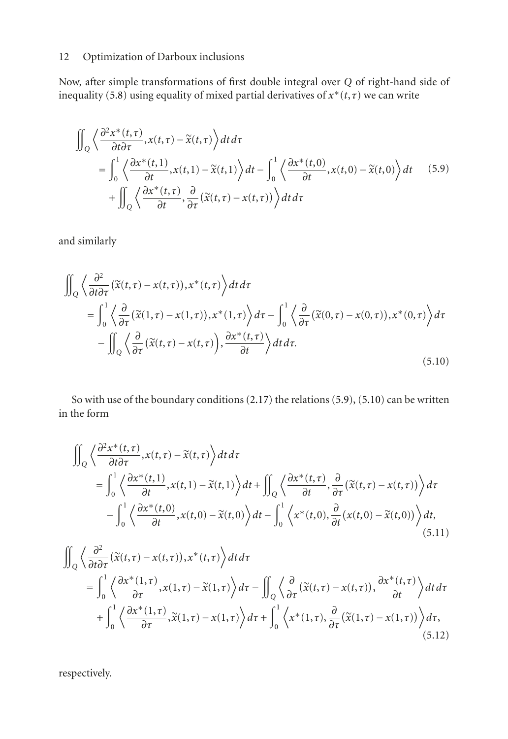Now, after simple transformations of first double integral over *Q* of right-hand side of inequality [\(5.8\)](#page-10-0) using equality of mixed partial derivatives of  $x^*(t, \tau)$  we can write

<span id="page-11-0"></span>
$$
\iint_{Q} \left\langle \frac{\partial^{2} x^{*}(t,\tau)}{\partial t \partial \tau}, x(t,\tau) - \tilde{x}(t,\tau) \right\rangle dt d\tau\n= \int_{0}^{1} \left\langle \frac{\partial x^{*}(t,1)}{\partial t}, x(t,1) - \tilde{x}(t,1) \right\rangle dt - \int_{0}^{1} \left\langle \frac{\partial x^{*}(t,0)}{\partial t}, x(t,0) - \tilde{x}(t,0) \right\rangle dt\n+ \iint_{Q} \left\langle \frac{\partial x^{*}(t,\tau)}{\partial t}, \frac{\partial}{\partial \tau} (\tilde{x}(t,\tau) - x(t,\tau)) \right\rangle dt d\tau
$$
\n(5.9)

and similarly

<span id="page-11-1"></span>
$$
\iint_{Q} \left\langle \frac{\partial^{2}}{\partial t \partial \tau} (\tilde{x}(t,\tau) - x(t,\tau)), x^{*}(t,\tau) \right\rangle dt d\tau\n= \int_{0}^{1} \left\langle \frac{\partial}{\partial \tau} (\tilde{x}(1,\tau) - x(1,\tau)), x^{*}(1,\tau) \right\rangle d\tau - \int_{0}^{1} \left\langle \frac{\partial}{\partial \tau} (\tilde{x}(0,\tau) - x(0,\tau)), x^{*}(0,\tau) \right\rangle d\tau\n- \iint_{Q} \left\langle \frac{\partial}{\partial \tau} (\tilde{x}(t,\tau) - x(t,\tau)), \frac{\partial x^{*}(t,\tau)}{\partial t} \right\rangle dt d\tau.
$$
\n(5.10)

So with use of the boundary conditions [\(2.17\)](#page-3-1) the relations [\(5.9\)](#page-11-0), [\(5.10\)](#page-11-1) can be written in the form

<span id="page-11-2"></span>
$$
\iint_{Q} \left\langle \frac{\partial^{2} x^{*}(t,\tau)}{\partial t \partial \tau}, x(t,\tau) - \tilde{x}(t,\tau) \right\rangle dt d\tau\n= \int_{0}^{1} \left\langle \frac{\partial x^{*}(t,1)}{\partial t}, x(t,1) - \tilde{x}(t,1) \right\rangle dt + \iint_{Q} \left\langle \frac{\partial x^{*}(t,\tau)}{\partial t}, \frac{\partial}{\partial \tau} (\tilde{x}(t,\tau) - x(t,\tau)) \right\rangle d\tau\n- \int_{0}^{1} \left\langle \frac{\partial x^{*}(t,0)}{\partial t}, x(t,0) - \tilde{x}(t,0) \right\rangle dt - \int_{0}^{1} \left\langle x^{*}(t,0), \frac{\partial}{\partial t} (x(t,0) - \tilde{x}(t,0)) \right\rangle dt,\n\tag{5.11}
$$

<span id="page-11-3"></span>
$$
\iint_{Q} \left\langle \frac{\partial^{2}}{\partial t \partial \tau} (\tilde{x}(t,\tau) - x(t,\tau)), x^{*}(t,\tau) \right\rangle dt d\tau\n= \int_{0}^{1} \left\langle \frac{\partial x^{*}(1,\tau)}{\partial \tau}, x(1,\tau) - \tilde{x}(1,\tau) \right\rangle d\tau - \iint_{Q} \left\langle \frac{\partial}{\partial \tau} (\tilde{x}(t,\tau) - x(t,\tau)), \frac{\partial x^{*}(t,\tau)}{\partial t} \right\rangle dt d\tau\n+ \int_{0}^{1} \left\langle \frac{\partial x^{*}(1,\tau)}{\partial \tau}, \tilde{x}(1,\tau) - x(1,\tau) \right\rangle d\tau + \int_{0}^{1} \left\langle x^{*}(1,\tau), \frac{\partial}{\partial \tau} (\tilde{x}(1,\tau) - x(1,\tau)) \right\rangle d\tau,\n\tag{5.12}
$$

respectively.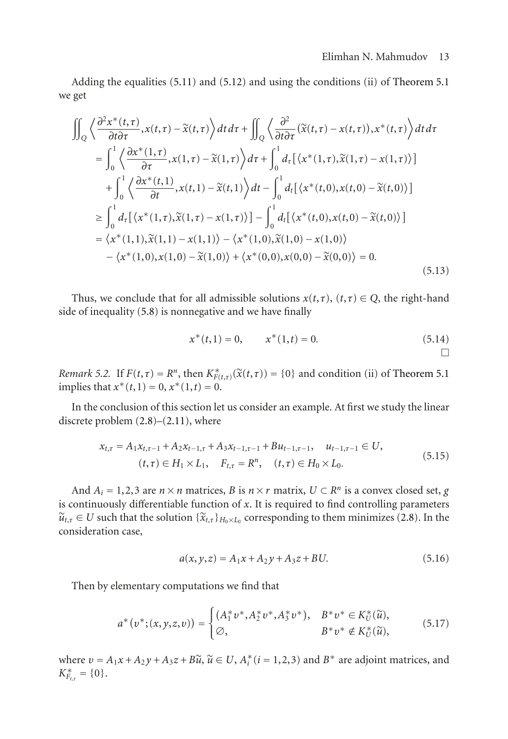## Elimhan N. Mahmudov 13

Adding the equalities [\(5.11\)](#page-11-2) and [\(5.12\)](#page-11-3) and using the conditions (ii) of [Theorem 5.1](#page-10-1) we get

$$
\iint_{Q} \left\langle \frac{\partial^{2} x^{*}(t,\tau)}{\partial t \partial \tau}, x(t,\tau) - \tilde{x}(t,\tau) \right\rangle dt d\tau + \iint_{Q} \left\langle \frac{\partial^{2}}{\partial t \partial \tau} (\tilde{x}(t,\tau) - x(t,\tau)), x^{*}(t,\tau) \right\rangle dt d\tau \n= \int_{0}^{1} \left\langle \frac{\partial x^{*}(1,\tau)}{\partial \tau}, x(1,\tau) - \tilde{x}(1,\tau) \right\rangle d\tau + \int_{0}^{1} d_{\tau} [\left\langle x^{*}(1,\tau), \tilde{x}(1,\tau) - x(1,\tau) \right\rangle] \n+ \int_{0}^{1} \left\langle \frac{\partial x^{*}(t,1)}{\partial t}, x(t,1) - \tilde{x}(t,1) \right\rangle dt - \int_{0}^{1} d_{t} [\left\langle x^{*}(t,0), x(t,0) - \tilde{x}(t,0) \right\rangle] \n\geq \int_{0}^{1} d_{\tau} [\left\langle x^{*}(1,\tau), \tilde{x}(1,\tau) - x(1,\tau) \right\rangle] - \int_{0}^{1} d_{t} [\left\langle x^{*}(t,0), x(t,0) - \tilde{x}(t,0) \right\rangle] \n= \left\langle x^{*}(1,1), \tilde{x}(1,1) - x(1,1) \right\rangle - \left\langle x^{*}(1,0), \tilde{x}(1,0) - x(1,0) \right\rangle \n- \left\langle x^{*}(1,0), x(1,0) - \tilde{x}(1,0) \right\rangle + \left\langle x^{*}(0,0), x(0,0) - \tilde{x}(0,0) \right\rangle = 0.
$$
\n(5.13)

Thus, we conclude that for all admissible solutions  $x(t, \tau)$ ,  $(t, \tau) \in Q$ , the right-hand side of inequality [\(5.8\)](#page-10-0) is nonnegative and we have finally

<span id="page-12-1"></span>
$$
x^*(t,1) = 0, \qquad x^*(1,t) = 0.
$$
 (5.14)

*Remark 5.2.* If  $F(t, \tau) = R^n$ , then  $K^*_{F(t, \tau)}(\tilde{x}(t, \tau)) = \{0\}$  and condition (ii) of [Theorem 5.1](#page-10-1) implies that  $x^*(t,1) = 0, x^*(1,t) = 0$ .

In the conclusion of this section let us consider an example. At first we study the linear discrete problem [\(2.8\)](#page-2-2)–[\(2.11\)](#page-2-1), where

$$
x_{t,\tau} = A_1 x_{t,\tau-1} + A_2 x_{t-1,\tau} + A_3 x_{t-1,\tau-1} + B u_{t-1,\tau-1}, \quad u_{t-1,\tau-1} \in U,
$$
  
\n
$$
(t,\tau) \in H_1 \times L_1, \quad F_{t,\tau} = R^n, \quad (t,\tau) \in H_0 \times L_0.
$$
\n
$$
(5.15)
$$

And  $A_i = 1, 2, 3$  are  $n \times n$  matrices, *B* is  $n \times r$  matrix,  $U \subset R^n$  is a convex closed set, *g* is continuously differentiable function of *x*. It is required to find controlling parameters  $\widetilde{u}_{t,\tau} \in U$  such that the solution  $\{\widetilde{x}_{t,\tau}\}_{H_0 \times L_0}$  corresponding to them minimizes [\(2.8\)](#page-2-2). In the consideration case,

<span id="page-12-0"></span>
$$
a(x, y, z) = A_1 x + A_2 y + A_3 z + BU.
$$
 (5.16)

Then by elementary computations we find that

$$
a^*(v^*;(x,y,z,v)) = \begin{cases} (A_1^* v^* , A_2^* v^* , A_3^* v^*), & B^* v^* \in K_U^*(\widetilde{u}), \\ \varnothing, & B^* v^* \notin K_U^*(\widetilde{u}), \end{cases}
$$
(5.17)

where  $v = A_1x + A_2y + A_3z + B\tilde{u}$ ,  $\tilde{u} \in U$ ,  $A_i^*(i = 1, 2, 3)$  and  $B^*$  are adjoint matrices, and  $V^*$  $K_{F_{t,\tau}}^{*} = \{0\}.$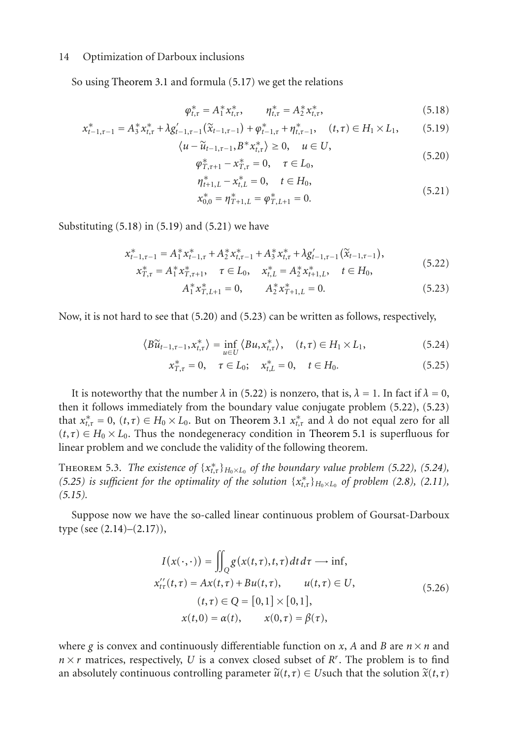So using [Theorem 3.1](#page-3-4) and formula [\(5.17\)](#page-12-0) we get the relations

<span id="page-13-1"></span><span id="page-13-0"></span>
$$
\varphi_{t,\tau}^* = A_1^* x_{t,\tau}^*, \qquad \eta_{t,\tau}^* = A_2^* x_{t,\tau}^*, \tag{5.18}
$$

$$
x_{t-1,\tau-1}^{*} = A_{3}^{*} x_{t,\tau}^{*} + \lambda g_{t-1,\tau-1}'(\tilde{x}_{t-1,\tau-1}) + \varphi_{t-1,\tau}^{*} + \eta_{t,\tau-1}^{*}, \quad (t,\tau) \in H_{1} \times L_{1}, \tag{5.19}
$$

$$
\langle u - \tilde{u}_{t-1,\tau-1}, B^* x_{t,\tau}^* \rangle \ge 0, \quad u \in U, \n\varphi_{T,\tau+1}^* - x_{T,\tau}^* = 0, \quad \tau \in L_0,
$$
\n(5.20)

<span id="page-13-3"></span><span id="page-13-2"></span>
$$
\eta_{t+1,L}^* - x_{t,L}^* = 0, \quad t \in H_0,\tag{5.21}
$$

<span id="page-13-5"></span><span id="page-13-4"></span>
$$
x_{0,0}^* = \eta_{T+1,L}^* = \varphi_{T,L+1}^* = 0.
$$
\n(5.21)

Substituting  $(5.18)$  in  $(5.19)$  and  $(5.21)$  we have

$$
x_{t-1,\tau-1}^{*} = A_{1}^{*} x_{t-1,\tau}^{*} + A_{2}^{*} x_{t,\tau-1}^{*} + A_{3}^{*} x_{t,\tau}^{*} + \lambda g_{t-1,\tau-1}(\tilde{x}_{t-1,\tau-1}),
$$
  
\n
$$
x_{T,\tau}^{*} = A_{1}^{*} x_{T,\tau+1}^{*}, \quad \tau \in L_{0}, \quad x_{t,L}^{*} = A_{2}^{*} x_{t+1,L}^{*}, \quad t \in H_{0},
$$
\n
$$
(5.22)
$$

<span id="page-13-7"></span><span id="page-13-6"></span>
$$
A_1^* x_{T,L+1}^* = 0, \qquad A_2^* x_{T+1,L}^* = 0.
$$
 (5.23)

Now, it is not hard to see that [\(5.20\)](#page-13-3) and [\(5.23\)](#page-13-4) can be written as follows, respectively,

$$
\langle B\widetilde{u}_{t-1,\tau-1}, x_{t,\tau}^* \rangle = \inf_{u \in U} \langle Bu, x_{t,\tau}^* \rangle, \quad (t,\tau) \in H_1 \times L_1,\tag{5.24}
$$

$$
x_{T,\tau}^* = 0, \quad \tau \in L_0; \quad x_{t,L}^* = 0, \quad t \in H_0.
$$
 (5.25)

It is noteworthy that the number  $\lambda$  in [\(5.22\)](#page-13-5) is nonzero, that is,  $\lambda = 1$ . In fact if  $\lambda = 0$ , then it follows immediately from the boundary value conjugate problem [\(5.22\)](#page-13-5), [\(5.23\)](#page-13-4) that  $x_{t,\tau}^* = 0$ ,  $(t,\tau) \in H_0 \times L_0$ . But on [Theorem 3.1](#page-3-4)  $x_{t,\tau}^*$  and  $\lambda$  do not equal zero for all  $(t,\tau) \in H_0 \times L_0$ . Thus the nondegeneracy condition in [Theorem 5.1](#page-10-1) is superfluous for linear problem and we conclude the validity of the following theorem.

<span id="page-13-9"></span>**THEOREM 5.3.** The existence of  $\{x_{t,\tau}^*\}_{H_0 \times L_0}$  of the boundary value problem [\(5.22\)](#page-13-5), [\(5.24\)](#page-13-6), *[\(5.25\)](#page-13-7) is sufficient for the optimality of the solution*  $\{x_{t,\tau}^*\}_{H_0 \times L_0}$  *of problem [\(2.8\)](#page-2-2), [\(2.11\)](#page-2-1), [\(5.15\)](#page-12-1).*

Suppose now we have the so-called linear continuous problem of Goursat-Darboux type (see [\(2.14\)](#page-3-5)–[\(2.17\)](#page-3-1)),

<span id="page-13-8"></span>
$$
I(x(\cdot,\cdot)) = \iint_{Q} g(x(t,\tau),t,\tau) dt d\tau \longrightarrow \inf, x''_{tt}(t,\tau) = Ax(t,\tau) + Bu(t,\tau), \qquad u(t,\tau) \in U, (t,\tau) \in Q = [0,1] \times [0,1], x(t,0) = \alpha(t), \qquad x(0,\tau) = \beta(\tau),
$$
 (5.26)

where *g* is convex and continuously differentiable function on *x*, *A* and *B* are  $n \times n$  and  $n \times r$  matrices, respectively, U is a convex closed subset of  $R^r$ . The problem is to find an absolutely continuous controlling parameter  $\tilde{u}(t, \tau) \in U$  such that the solution  $\tilde{x}(t, \tau)$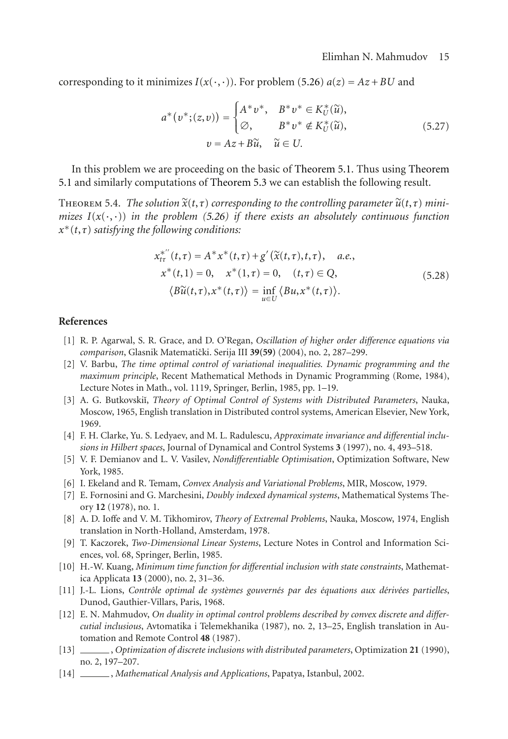corresponding to it minimizes  $I(x(\cdot, \cdot))$ . For problem [\(5.26\)](#page-13-8)  $a(z) = Az + BU$  and

$$
a^*(v^*;(z,v)) = \begin{cases} A^*v^*, & B^*v^* \in K_U^*(\widetilde{u}), \\ \varnothing, & B^*v^* \notin K_U^*(\widetilde{u}), \end{cases}
$$
  
\n
$$
v = Az + B\widetilde{u}, \quad \widetilde{u} \in U.
$$
 (5.27)

In this problem we are proceeding on the basic of [Theorem 5.1.](#page-10-1) Thus using [Theorem](#page-10-1) [5.1](#page-10-1) and similarly computations of [Theorem 5.3](#page-13-9) we can establish the following result.

THEOREM 5.4. *The solution*  $\widetilde{x}(t, \tau)$  *corresponding to the controlling parameter*  $\widetilde{u}(t, \tau)$  *minimizes*  $I(x(\cdot, \cdot))$  *in the problem [\(5.26\)](#page-13-8) if there exists an absolutely continuous function x*∗(*t*,*τ*) *satisfying the following conditions:*

$$
x_{t\tau}^{*''}(t,\tau) = A^*x^*(t,\tau) + g'(\tilde{x}(t,\tau),t,\tau), \quad a.e.,
$$
  
\n
$$
x^*(t,1) = 0, \quad x^*(1,\tau) = 0, \quad (t,\tau) \in Q,
$$
  
\n
$$
\langle B\tilde{u}(t,\tau), x^*(t,\tau) \rangle = \inf_{u \in U} \langle Bu, x^*(t,\tau) \rangle.
$$
\n(5.28)

## <span id="page-14-1"></span><span id="page-14-0"></span>**References**

- [1] R. P. Agarwal, S. R. Grace, and D. O'Regan, *Oscillation of higher order difference equations via comparison*, Glasnik Matematicki. Serija III ˇ **39(59)** (2004), no. 2, 287–299.
- [2] V. Barbu, *The time optimal control of variational inequalities. Dynamic programming and the maximum principle*, Recent Mathematical Methods in Dynamic Programming (Rome, 1984), Lecture Notes in Math., vol. 1119, Springer, Berlin, 1985, pp. 1–19.
- [3] A. G. Butkovskiı̆, *Theory of Optimal Control of Systems with Distributed Parameters*, Nauka, Moscow, 1965, English translation in Distributed control systems, American Elsevier, New York, 1969.
- [4] F. H. Clarke, Yu. S. Ledyaev, and M. L. Radulescu, *Approximate invariance and differential inclusions in Hilbert spaces*, Journal of Dynamical and Control Systems **3** (1997), no. 4, 493–518.
- <span id="page-14-6"></span>[5] V. F. Demianov and L. V. Vasilev, *Nondifferentiable Optimisation*, Optimization Software, New York, 1985.
- [6] I. Ekeland and R. Temam, *Convex Analysis and Variational Problems*, MIR, Moscow, 1979.
- <span id="page-14-4"></span>[7] E. Fornosini and G. Marchesini, *Doubly indexed dynamical systems*, Mathematical Systems Theory **12** (1978), no. 1.
- <span id="page-14-3"></span>[8] A. D. Ioffe and V. M. Tikhomirov, *Theory of Extremal Problems*, Nauka, Moscow, 1974, English translation in North-Holland, Amsterdam, 1978.
- <span id="page-14-5"></span>[9] T. Kaczorek, *Two-Dimensional Linear Systems*, Lecture Notes in Control and Information Sciences, vol. 68, Springer, Berlin, 1985.
- [10] H.-W. Kuang, *Minimum time function for differential inclusion with state constraints*, Mathematica Applicata **13** (2000), no. 2, 31–36.
- [11] J.-L. Lions, *Contrôle optimal de systèmes gouvernés par des équations aux dérivées partielles*, Dunod, Gauthier-Villars, Paris, 1968.
- [12] E. N. Mahmudov, *On duality in optimal control problems described by convex discrete and differcutial inclusious*, Avtomatika i Telemekhanika (1987), no. 2, 13–25, English translation in Automation and Remote Control **48** (1987).
- <span id="page-14-2"></span>[13] , *Optimization of discrete inclusions with distributed parameters*, Optimization **21** (1990), no. 2, 197–207.
- [14] , *Mathematical Analysis and Applications*, Papatya, Istanbul, 2002.